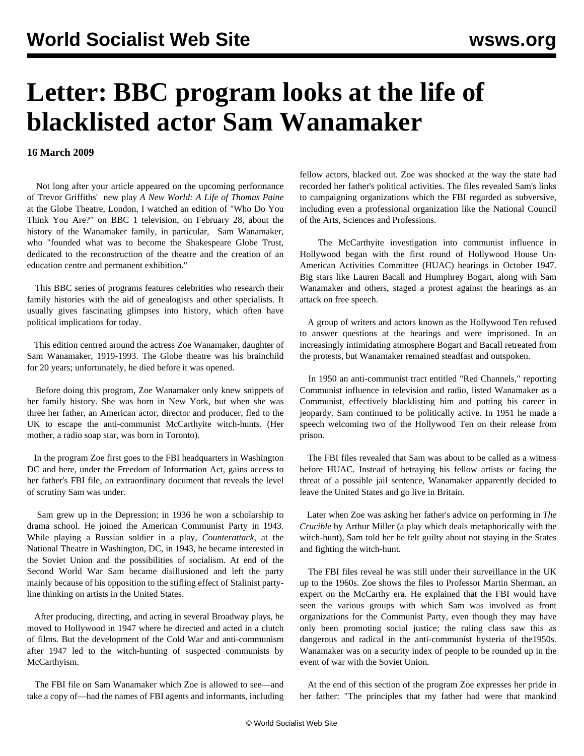## **Letter: BBC program looks at the life of blacklisted actor Sam Wanamaker**

**16 March 2009**

 Not long after your article appeared on the upcoming performance of Trevor Griffiths' new play *A New World: A Life of Thomas Paine* at the Globe Theatre, London, I watched an edition of ["Who Do You](http://www.shakespeares-globe.org/abouttheglobe/background/samwanamaker/) [Think You Are?"](http://www.shakespeares-globe.org/abouttheglobe/background/samwanamaker/) on BBC 1 television, on February 28, about the history of the Wanamaker family, in particular, Sam Wanamaker, who "founded what was to become the Shakespeare Globe Trust, dedicated to the reconstruction of the theatre and the creation of an education centre and permanent exhibition."

 This BBC series of programs features celebrities who research their family histories with the aid of genealogists and other specialists. It usually gives fascinating glimpses into history, which often have political implications for today.

 This edition centred around the actress Zoe Wanamaker, daughter of Sam Wanamaker, 1919-1993. The Globe theatre was his brainchild for 20 years; unfortunately, he died before it was opened.

 Before doing this program, Zoe Wanamaker only knew snippets of her family history. She was born in New York, but when she was three her father, an American actor, director and producer, fled to the UK to escape the anti-communist McCarthyite witch-hunts. (Her mother, a radio soap star, was born in Toronto).

 In the program Zoe first goes to the FBI headquarters in Washington DC and here, under the Freedom of Information Act, gains access to her father's FBI file, an extraordinary document that reveals the level of scrutiny Sam was under.

 Sam grew up in the Depression; in 1936 he won a scholarship to drama school. He joined the American Communist Party in 1943. While playing a Russian soldier in a play, *Counterattack*, at the National Theatre in Washington, DC, in 1943, he became interested in the Soviet Union and the possibilities of socialism. At end of the Second World War Sam became disillusioned and left the party mainly because of his opposition to the stifling effect of Stalinist partyline thinking on artists in the United States.

 After producing, directing, and acting in several Broadway plays, he moved to Hollywood in 1947 where he directed and acted in a clutch of films. But the development of the Cold War and anti-communism after 1947 led to the witch-hunting of suspected communists by McCarthyism.

 The FBI file on Sam Wanamaker which Zoe is allowed to see—and take a copy of—had the names of FBI agents and informants, including fellow actors, blacked out. Zoe was shocked at the way the state had recorded her father's political activities. The files revealed Sam's links to campaigning organizations which the FBI regarded as subversive, including even a professional organization like the National Council of the Arts, Sciences and Professions.

 The McCarthyite investigation into communist influence in Hollywood began with the first round of Hollywood House Un-American Activities Committee (HUAC) hearings in October 1947. Big stars like Lauren Bacall and Humphrey Bogart, along with Sam Wanamaker and others, staged a protest against the hearings as an attack on free speech.

 A group of writers and actors known as the Hollywood Ten refused to answer questions at the hearings and were imprisoned. In an increasingly intimidating atmosphere Bogart and Bacall retreated from the protests, but Wanamaker remained steadfast and outspoken.

 In 1950 an anti-communist tract entitled "Red Channels," reporting Communist influence in television and radio, listed Wanamaker as a Communist, effectively blacklisting him and putting his career in jeopardy. Sam continued to be politically active. In 1951 he made a speech welcoming two of the Hollywood Ten on their release from prison.

 The FBI files revealed that Sam was about to be called as a witness before HUAC. Instead of betraying his fellow artists or facing the threat of a possible jail sentence, Wanamaker apparently decided to leave the United States and go live in Britain.

 Later when Zoe was asking her father's advice on performing in *The Crucible* by Arthur Miller (a play which deals metaphorically with the witch-hunt), Sam told her he felt guilty about not staying in the States and fighting the witch-hunt.

 The FBI files reveal he was still under their surveillance in the UK up to the 1960s. Zoe shows the files to Professor Martin Sherman, an expert on the McCarthy era. He explained that the FBI would have seen the various groups with which Sam was involved as front organizations for the Communist Party, even though they may have only been promoting social justice; the ruling class saw this as dangerous and radical in the anti-communist hysteria of the1950s. Wanamaker was on a security index of people to be rounded up in the event of war with the Soviet Union.

 At the end of this section of the program Zoe expresses her pride in her father: "The principles that my father had were that mankind